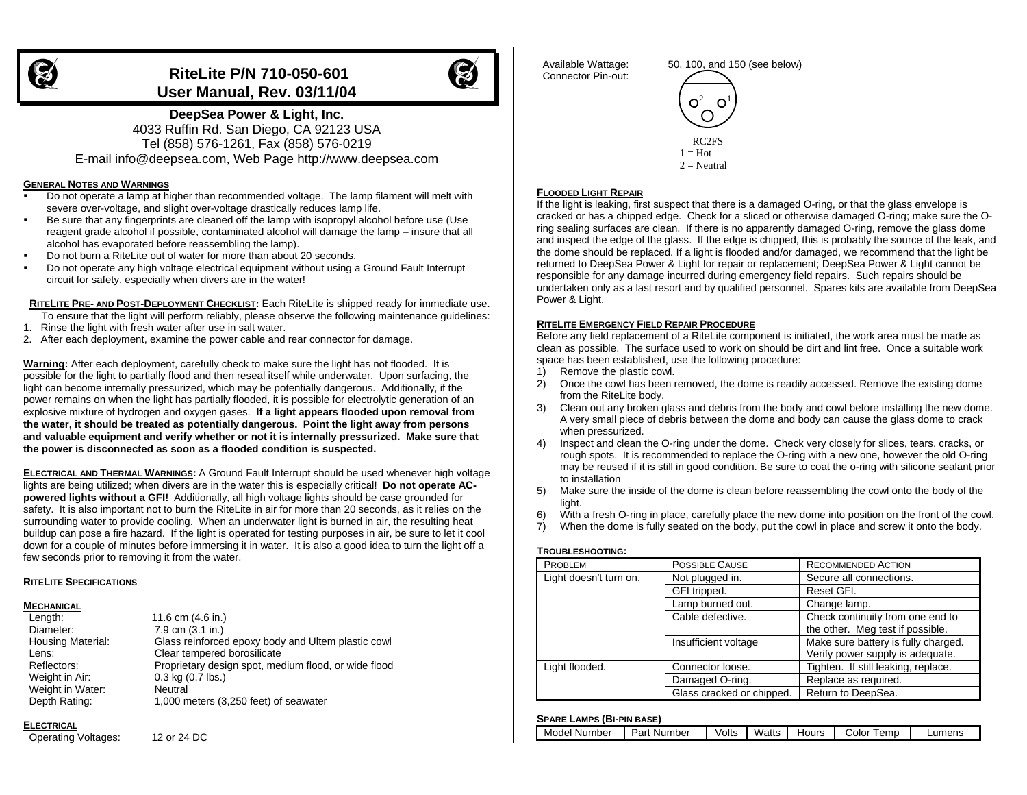# **RiteLite P/N 710-050-601 User Manual, Rev. 03/11/04**



**DeepSea Power & Light, Inc.** 4033 Ruffin Rd. San Diego, CA 92123 USA Tel (858) 576-1261, Fax (858) 576-0219 E-mail info@deepsea.com, Web Page http://www.deepsea.com

#### **GENERAL NOTES AND WARNINGS**

- Do not operate a lamp at higher than recommended voltage. The lamp filament will melt with severe over-voltage, and slight over-voltage drastically reduces lamp life.
- Be sure that any fingerprints are cleaned off the lamp with isopropyl alcohol before use (Use reagent grade alcohol if possible, contaminated alcohol will damage the lamp – insure that all alcohol has evaporated before reassembling the lamp).
- Do not burn a RiteLite out of water for more than about 20 seconds.
- Do not operate any high voltage electrical equipment without using a Ground Fault Interrupt circuit for safety, especially when divers are in the water!

**RITELITE PRE- AND POST-DEPLOYMENT CHECKLIST:** Each RiteLite is shipped ready for immediate use.

- To ensure that the light will perform reliably, please observe the following maintenance guidelines:
- 1. Rinse the light with fresh water after use in salt water.
- 2. After each deployment, examine the power cable and rear connector for damage.

**Warning:** After each deployment, carefully check to make sure the light has not flooded. It is possible for the light to partially flood and then reseal itself while underwater. Upon surfacing, the light can become internally pressurized, which may be potentially dangerous. Additionally, if the power remains on when the light has partially flooded, it is possible for electrolytic generation of an explosive mixture of hydrogen and oxygen gases. **If a light appears flooded upon removal from the water, it should be treated as potentially dangerous. Point the light away from persons and valuable equipment and verify whether or not it is internally pressurized. Make sure that the power is disconnected as soon as a flooded condition is suspected.**

**ELECTRICAL AND THERMAL WARNINGS:** A Ground Fault Interrupt should be used whenever high voltage lights are being utilized; when divers are in the water this is especially critical! **Do not operate ACpowered lights without a GFI!** Additionally, all high voltage lights should be case grounded for safety. It is also important not to burn the RiteLite in air for more than 20 seconds, as it relies on the surrounding water to provide cooling. When an underwater light is burned in air, the resulting heat buildup can pose a fire hazard. If the light is operated for testing purposes in air, be sure to let it cool down for a couple of minutes before immersing it in water. It is also a good idea to turn the light off a few seconds prior to removing it from the water.

#### **RITELITE SPECIFICATIONS**

#### **MECHANICAL**

| Length:                  | 11.6 cm (4.6 in.)                                    |
|--------------------------|------------------------------------------------------|
| Diameter:                | 7.9 cm (3.1 in.)                                     |
| <b>Housing Material:</b> | Glass reinforced epoxy body and Ultem plastic cowl   |
| Lens:                    | Clear tempered borosilicate                          |
| Reflectors:              | Proprietary design spot, medium flood, or wide flood |
| Weight in Air:           | $0.3$ kg $(0.7$ lbs.)                                |
| Weight in Water:         | Neutral                                              |
| Depth Rating:            | 1,000 meters (3,250 feet) of seawater                |

## **ELECTRICAL**

Operating Voltages: 12 or 24 DC

 Available Wattage: 50, 100, and 150 (see below) Connector Pin-out:



## **FLOODED LIGHT REPAIR**

If the light is leaking, first suspect that there is a damaged O-ring, or that the glass envelope is cracked or has a chipped edge. Check for a sliced or otherwise damaged O-ring; make sure the Oring sealing surfaces are clean. If there is no apparently damaged O-ring, remove the glass dome and inspect the edge of the glass. If the edge is chipped, this is probably the source of the leak, and the dome should be replaced. If a light is flooded and/or damaged, we recommend that the light be returned to DeepSea Power & Light for repair or replacement; DeepSea Power & Light cannot be responsible for any damage incurred during emergency field repairs. Such repairs should be undertaken only as a last resort and by qualified personnel. Spares kits are available from DeepSea Power & Light.

#### **RITELITE EMERGENCY FIELD REPAIR PROCEDURE**

Before any field replacement of a RiteLite component is initiated, the work area must be made as clean as possible. The surface used to work on should be dirt and lint free. Once a suitable work space has been established, use the following procedure:

- 1) Remove the plastic cowl.
- 2) Once the cowl has been removed, the dome is readily accessed. Remove the existing dome from the RiteLite body.
- 3) Clean out any broken glass and debris from the body and cowl before installing the new dome. A very small piece of debris between the dome and body can cause the glass dome to crack when pressurized.
- 4) Inspect and clean the O-ring under the dome. Check very closely for slices, tears, cracks, or rough spots. It is recommended to replace the O-ring with a new one, however the old O-ring may be reused if it is still in good condition. Be sure to coat the o-ring with silicone sealant prior to installation
- 5) Make sure the inside of the dome is clean before reassembling the cowl onto the body of the light.
- 6) With a fresh O-ring in place, carefully place the new dome into position on the front of the cowl.
- 7) When the dome is fully seated on the body, put the cowl in place and screw it onto the body.

#### **TROUBLESHOOTING:**

| <b>PROBLEM</b>         | POSSIBLE CAUSE            | <b>RECOMMENDED ACTION</b>           |  |
|------------------------|---------------------------|-------------------------------------|--|
| Light doesn't turn on. | Not plugged in.           | Secure all connections.             |  |
|                        | GFI tripped.              | Reset GFI.                          |  |
|                        | Lamp burned out.          | Change lamp.                        |  |
|                        | Cable defective.          | Check continuity from one end to    |  |
|                        |                           | the other. Meg test if possible.    |  |
| Insufficient voltage   |                           | Make sure battery is fully charged. |  |
|                        |                           | Verify power supply is adequate.    |  |
| Light flooded.         | Connector loose.          | Tighten. If still leaking, replace. |  |
|                        | Damaged O-ring.           | Replace as required.                |  |
|                        | Glass cracked or chipped. | Return to DeepSea.                  |  |

## **SPARE LAMPS (BI-PIN BASE)**

| Model Number | Part Number | Volts | Watts | Hours | emp<br>∵olor | ∟umens |
|--------------|-------------|-------|-------|-------|--------------|--------|
|              |             |       |       |       |              |        |